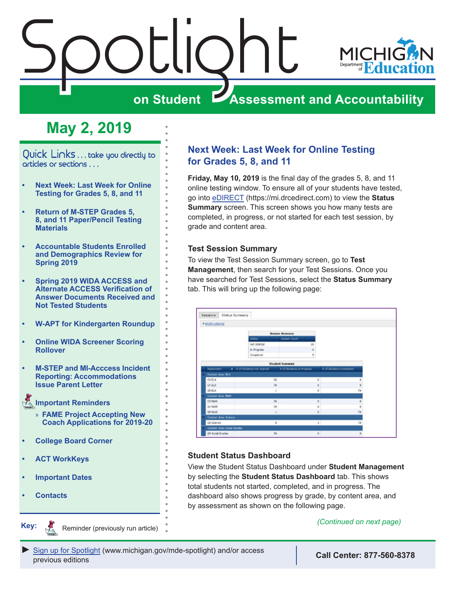<span id="page-0-0"></span>



# **on Student Assessment and Accountability**

# **May 2, 2019**

Quick Links . . . take you directly to articles or sections . . .

- **• Next Week: Last Week for Online Testing for Grades 5, 8, and 11**
- **• [Return of M-STEP Grades 5,](#page-1-0)  [8, and 11 Paper/Pencil Testing](#page-1-0)  [Materials](#page-1-0)**
- **• [Accountable Students Enrolled](#page-2-0)  [and Demographics Review for](#page-2-0)  [Spring 2019](#page-2-0)**
- **• [Spring 2019 WIDA ACCESS and](#page-3-0)  [Alternate ACCESS Verification of](#page-3-0)  [Answer Documents Received and](#page-3-0)  [Not Tested Students](#page-3-0)**
- **• [W-APT for Kindergarten Roundup](#page-4-0)**
- **• [Online WIDA Screener Scoring](#page-4-0)  [Rollover](#page-4-0)**
- **• [M-STEP and MI-Acccess Incident](#page-4-0)  [Reporting: Accommodations](#page-4-0)  [Issue Parent Letter](#page-4-0)**
- **[Important Reminders](#page-5-0)**
	- » **[FAME Project Accepting New](#page-5-0)  [Coach Applications for 2019-20](#page-5-0)**
- **• [College Board Corner](#page-6-0)**
- **• [ACT WorkKeys](#page-8-0)**
- **• [Important Dates](#page-10-0)**
- **• [Contacts](#page-11-0)**

Reminders

**Key:**

**Remindered** 

Reminder (previously run article) *(Continued on next page)*

### **Next Week: Last Week for Online Testing for Grades 5, 8, and 11**

**Friday, May 10, 2019** is the final day of the grades 5, 8, and 11 online testing window. To ensure all of your students have tested, go into [eDIRECT](https://mi.drcedirect.com) (https://mi.drcedirect.com) to view the **Status Summary** screen. This screen shows you how many tests are completed, in progress, or not started for each test session, by grade and content area.

#### **Test Session Summary**

To view the Test Session Summary screen, go to **Test Management**, then search for your Test Sessions. Once you have searched for Test Sessions, select the **Status Summary** tab. This will bring up the following page:

| * Instructions               |                             |                           |                         |    |
|------------------------------|-----------------------------|---------------------------|-------------------------|----|
|                              |                             | <b>Session Summary</b>    |                         |    |
|                              | 926v3                       | Sensor Count              |                         |    |
|                              | Net started                 | 15                        |                         |    |
|                              | In Progress                 | ٠                         |                         |    |
|                              | Completed                   | 5                         |                         |    |
|                              |                             | Student Summary           |                         |    |
| <b>Assessment</b>            | . a of Students Not Started | # of Students In Progress | # of Students Completed |    |
| Content Area: ELA            |                             |                           |                         |    |
| <b>63 FLA</b>                | 76                          | ¢.                        |                         |    |
| <b>G4 ELA</b>                | 70                          | ¢.                        |                         |    |
| 65 ELA                       | $\mathbf{1}$                | o                         |                         | 74 |
| Contant Area: Math           |                             |                           |                         |    |
| G3 Math                      | 76                          | o                         |                         |    |
| GA MORN                      | 70                          | o                         |                         |    |
| <b>65 Math</b>               | $\ddot{\phantom{1}}$        | ¢                         |                         | 34 |
| Content Area: Science        |                             |                           |                         |    |
| 05 Science                   |                             | $5 -$                     | 1 <sup>1</sup>          | 28 |
| Contant Area: Social Studies |                             |                           |                         |    |
| <b>03 Social Studies</b>     | 76                          | $\alpha$                  |                         | ٠  |

#### **Student Status Dashboard**

View the Student Status Dashboard under **Student Management**  by selecting the **Student Status Dashboard** tab. This shows total students not started, completed, and in progress. The dashboard also shows progress by grade, by content area, and by assessment as shown on the following page.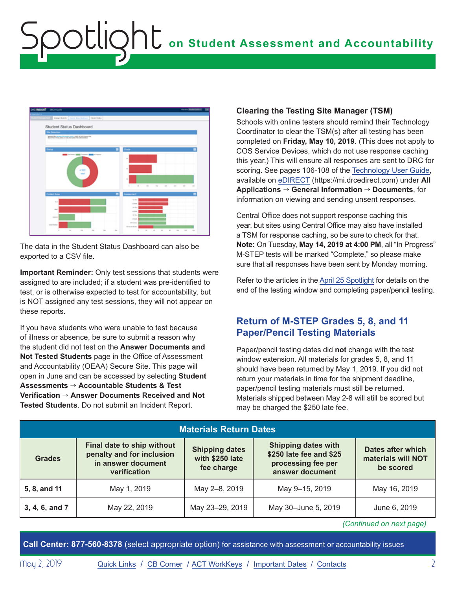<span id="page-1-0"></span>

The data in the Student Status Dashboard can also be exported to a CSV file.

**Important Reminder:** Only test sessions that students were assigned to are included; if a student was pre-identified to test, or is otherwise expected to test for accountability, but is NOT assigned any test sessions, they will not appear on these reports.

If you have students who were unable to test because of illness or absence, be sure to submit a reason why the student did not test on the **Answer Documents and Not Tested Students** page in the Office of Assessment and Accountability (OEAA) Secure Site. This page will open in June and can be accessed by selecting **Student Assessments** → **Accountable Students & Test Verification** → **Answer Documents Received and Not Tested Students**. Do not submit an Incident Report.

#### **Clearing the Testing Site Manager (TSM)**

Schools with online testers should remind their Technology Coordinator to clear the TSM(s) after all testing has been completed on **Friday, May 10, 2019**. (This does not apply to COS Service Devices, which do not use response caching this year.) This will ensure all responses are sent to DRC for scoring. See pages 106-108 of the [Technology User Guide,](https://mi.drcedirect.com/Documents/Unsecure/Doc.aspx?id=27830d03-3cb2-459f-8843-40dd48d81b1a) available on [eDIRECT](https://mi.drcedirect.com) (https://mi.drcedirect.com) under **All Applications** → **General Information** → **Documents**, for information on viewing and sending unsent responses.

Central Office does not support response caching this year, but sites using Central Office may also have installed a TSM for response caching, so be sure to check for that. **Note:** On Tuesday, **May 14, 2019 at 4:00 PM**, all "In Progress" M-STEP tests will be marked "Complete," so please make sure that all responses have been sent by Monday morning.

Refer to the articles in the [April 25 Spotlight](https://www.michigan.gov/documents/mde/Spotlight_4-25-19_653469_7.pdf) for details on the end of the testing window and completing paper/pencil testing.

### **Return of M-STEP Grades 5, 8, and 11 Paper/Pencil Testing Materials**

Paper/pencil testing dates did **not** change with the test window extension. All materials for grades 5, 8, and 11 should have been returned by May 1, 2019. If you did not return your materials in time for the shipment deadline, paper/pencil testing materials must still be returned. Materials shipped between May 2-8 will still be scored but may be charged the \$250 late fee.

| <b>Materials Return Dates</b> |                                                                                               |                                                        |                                                                                                |                                                      |
|-------------------------------|-----------------------------------------------------------------------------------------------|--------------------------------------------------------|------------------------------------------------------------------------------------------------|------------------------------------------------------|
| <b>Grades</b>                 | Final date to ship without<br>penalty and for inclusion<br>in answer document<br>verification | <b>Shipping dates</b><br>with \$250 late<br>fee charge | <b>Shipping dates with</b><br>\$250 late fee and \$25<br>processing fee per<br>answer document | Dates after which<br>materials will NOT<br>be scored |
| 5, 8, and 11                  | May 1, 2019                                                                                   | May 2-8, 2019                                          | May 9-15, 2019                                                                                 | May 16, 2019                                         |
| 3, 4, 6, and 7                | May 22, 2019                                                                                  | May 23-29, 2019                                        | May 30-June 5, 2019                                                                            | June 6, 2019                                         |

*(Continued on next page)*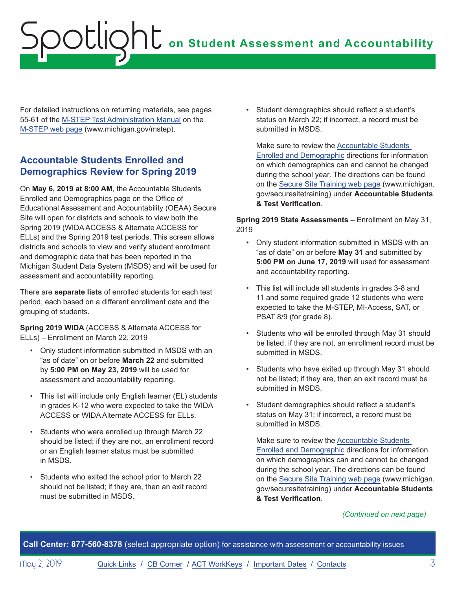<span id="page-2-0"></span>For detailed instructions on returning materials, see pages 55-61 of the [M-STEP Test Administration Manual](https://www.michigan.gov/documents/mde/M-STEP_Test_Administration_Manual_630729_7.pdf) on the [M-STEP web page](www.michigan.gov/mstep) (www.michigan.gov/mstep).

## **Accountable Students Enrolled and Demographics Review for Spring 2019**

On **May 6, 2019 at 8:00 AM**, the Accountable Students Enrolled and Demographics page on the Office of Educational Assessment and Accountability (OEAA) Secure Site will open for districts and schools to view both the Spring 2019 (WIDA ACCESS & Alternate ACCESS for ELLs) and the Spring 2019 test periods. This screen allows districts and schools to view and verify student enrollment and demographic data that has been reported in the Michigan Student Data System (MSDS) and will be used for assessment and accountability reporting.

There are **separate lists** of enrolled students for each test period, each based on a different enrollment date and the grouping of students.

**Spring 2019 WIDA** (ACCESS & Alternate ACCESS for ELLs) – Enrollment on March 22, 2019

- Only student information submitted in MSDS with an "as of date" on or before **March 22** and submitted by **5:00 PM on May 23, 2019** will be used for assessment and accountability reporting.
- This list will include only English learner (EL) students in grades K-12 who were expected to take the WIDA ACCESS or WIDA Alternate ACCESS for ELLs.
- Students who were enrolled up through March 22 should be listed; if they are not, an enrollment record or an English learner status must be submitted in MSDS.
- Students who exited the school prior to March 22 should not be listed; if they are, then an exit record must be submitted in MSDS.

• Student demographics should reflect a student's status on March 22; if incorrect, a record must be submitted in MSDS.

Make sure to review the [Accountable Students](https://www.michigan.gov/documents/mde/Accountable_Students_Enrolled_and_Demographics_621314_7.pdf)  [Enrolled and Demographic](https://www.michigan.gov/documents/mde/Accountable_Students_Enrolled_and_Demographics_621314_7.pdf) directions for information on which demographics can and cannot be changed during the school year. The directions can be found on the [Secure Site Training web page](http://www.michigan.gov/securesitetraining) (www.michigan. gov/securesitetraining) under **Accountable Students & Test Verification**.

**Spring 2019 State Assessments** – Enrollment on May 31, 2019

- Only student information submitted in MSDS with an "as of date" on or before **May 31** and submitted by **5:00 PM on June 17, 2019** will used for assessment and accountability reporting.
- This list will include all students in grades 3-8 and 11 and some required grade 12 students who were expected to take the M-STEP, MI-Access, SAT, or PSAT 8/9 (for grade 8).
- Students who will be enrolled through May 31 should be listed; if they are not, an enrollment record must be submitted in MSDS.
- Students who have exited up through May 31 should not be listed; if they are, then an exit record must be submitted in MSDS.
- Student demographics should reflect a student's status on May 31; if incorrect, a record must be submitted in MSDS.

Make sure to review the [Accountable Students](https://www.michigan.gov/documents/mde/Accountable_Students_Enrolled_and_Demographics_621314_7.pdf)  [Enrolled and Demographic](https://www.michigan.gov/documents/mde/Accountable_Students_Enrolled_and_Demographics_621314_7.pdf) directions for information on which demographics can and cannot be changed during the school year. The directions can be found on the [Secure Site Training web page](http://www.michigan.gov/securesitetraining) (www.michigan. gov/securesitetraining) under **Accountable Students & Test Verification**.

#### *(Continued on next page)*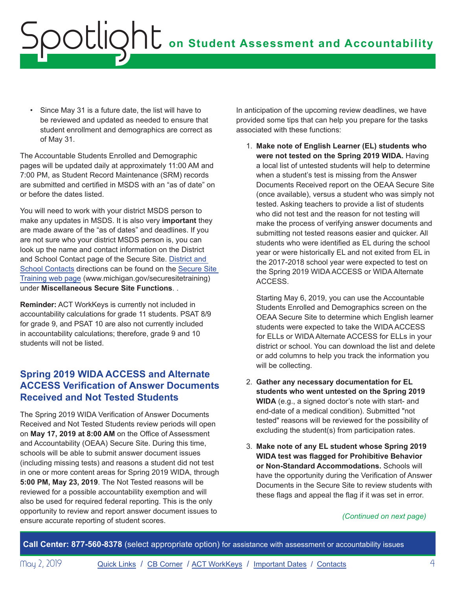<span id="page-3-0"></span>• Since May 31 is a future date, the list will have to be reviewed and updated as needed to ensure that student enrollment and demographics are correct as of May 31.

The Accountable Students Enrolled and Demographic pages will be updated daily at approximately 11:00 AM and 7:00 PM, as Student Record Maintenance (SRM) records are submitted and certified in MSDS with an "as of date" on or before the dates listed.

You will need to work with your district MSDS person to make any updates in MSDS. It is also very **important** they are made aware of the "as of dates" and deadlines. If you are not sure who your district MSDS person is, you can look up the name and contact information on the District and School Contact page of the Secure Site. [District and](https://www.michigan.gov/documents/mde/District_and_School_Contacts_Directions_jl_538104_7.pdf)  [School Contacts](https://www.michigan.gov/documents/mde/District_and_School_Contacts_Directions_jl_538104_7.pdf) directions can be found on the [Secure Site](http://www.michigan.gov/securesitetraining)  [Training web page](http://www.michigan.gov/securesitetraining) (www.michigan.gov/securesitetraining) under **Miscellaneous Secure Site Functions**. .

**Reminder:** ACT WorkKeys is currently not included in accountability calculations for grade 11 students. PSAT 8/9 for grade 9, and PSAT 10 are also not currently included in accountability calculations; therefore, grade 9 and 10 students will not be listed.

## **Spring 2019 WIDA ACCESS and Alternate ACCESS Verification of Answer Documents Received and Not Tested Students**

The Spring 2019 WIDA Verification of Answer Documents Received and Not Tested Students review periods will open on **May 17, 2019 at 8:00 AM** on the Office of Assessment and Accountability (OEAA) Secure Site. During this time, schools will be able to submit answer document issues (including missing tests) and reasons a student did not test in one or more content areas for Spring 2019 WIDA, through **5:00 PM, May 23, 2019**. The Not Tested reasons will be reviewed for a possible accountability exemption and will also be used for required federal reporting. This is the only opportunity to review and report answer document issues to ensure accurate reporting of student scores.

In anticipation of the upcoming review deadlines, we have provided some tips that can help you prepare for the tasks associated with these functions:

1. **Make note of English Learner (EL) students who were not tested on the Spring 2019 WIDA.** Having a local list of untested students will help to determine when a student's test is missing from the Answer Documents Received report on the OEAA Secure Site (once available), versus a student who was simply not tested. Asking teachers to provide a list of students who did not test and the reason for not testing will make the process of verifying answer documents and submitting not tested reasons easier and quicker. All students who were identified as EL during the school year or were historically EL and not exited from EL in the 2017-2018 school year were expected to test on the Spring 2019 WIDA ACCESS or WIDA Alternate ACCESS.

Starting May 6, 2019, you can use the Accountable Students Enrolled and Demographics screen on the OEAA Secure Site to determine which English learner students were expected to take the WIDA ACCESS for ELLs or WIDA Alternate ACCESS for ELLs in your district or school. You can download the list and delete or add columns to help you track the information you will be collecting.

- 2. **Gather any necessary documentation for EL students who went untested on the Spring 2019 WIDA** (e.g., a signed doctor's note with start- and end-date of a medical condition). Submitted "not tested" reasons will be reviewed for the possibility of excluding the student(s) from participation rates.
- 3. **Make note of any EL student whose Spring 2019 WIDA test was flagged for Prohibitive Behavior or Non-Standard Accommodations.** Schools will have the opportunity during the Verification of Answer Documents in the Secure Site to review students with these flags and appeal the flag if it was set in error.

#### *(Continued on next page)*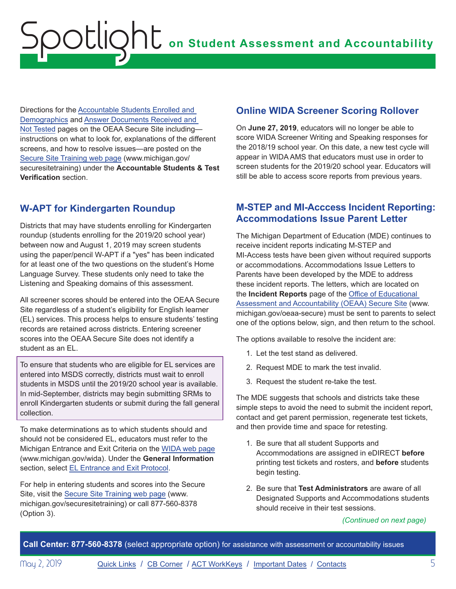<span id="page-4-0"></span>Directions for the [Accountable Students Enrolled and](https://www.michigan.gov/documents/mde/Accountable_Students_Enrolled_and_Demographics_621314_7.pdf)  [Demographics](https://www.michigan.gov/documents/mde/Accountable_Students_Enrolled_and_Demographics_621314_7.pdf) and [Answer Documents Received and](https://www.michigan.gov/documents/mde/Answer_Documents_Received_and_Not_Tested_Students_instructions_623116_7.pdf)  [Not Tested](https://www.michigan.gov/documents/mde/Answer_Documents_Received_and_Not_Tested_Students_instructions_623116_7.pdf) pages on the OEAA Secure Site including instructions on what to look for, explanations of the different screens, and how to resolve issues—are posted on the [Secure Site Training web page](http://www.michigan.gov/securesitetraining) (www.michigan.gov/ securesitetraining) under the **Accountable Students & Test Verification** section.

# **W-APT for Kindergarten Roundup**

Districts that may have students enrolling for Kindergarten roundup (students enrolling for the 2019/20 school year) between now and August 1, 2019 may screen students using the paper/pencil W-APT if a "yes" has been indicated for at least one of the two questions on the student's Home Language Survey. These students only need to take the Listening and Speaking domains of this assessment.

All screener scores should be entered into the OEAA Secure Site regardless of a student's eligibility for English learner (EL) services. This process helps to ensure students' testing records are retained across districts. Entering screener scores into the OEAA Secure Site does not identify a student as an EL.

To ensure that students who are eligible for EL services are entered into MSDS correctly, districts must wait to enroll students in MSDS until the 2019/20 school year is available. In mid-September, districts may begin submitting SRMs to enroll Kindergarten students or submit during the fall general collection.

To make determinations as to which students should and should not be considered EL, educators must refer to the Michigan Entrance and Exit Criteria on the [WIDA web page](www.michigan.gov/wida) (www.michigan.gov/wida). Under the **General Information** section, select [EL Entrance and Exit Protocol](https://www.michigan.gov/documents/mde/Entrance_and_Exit_Protocol_updated_May_2016_550634_7.pdf).

For help in entering students and scores into the Secure Site, visit the [Secure Site Training web page](http://www.michigan.gov/securesitetraining) (www. michigan.gov/securesitetraining) or call 877-560-8378 (Option 3).

## **Online WIDA Screener Scoring Rollover**

On **June 27, 2019**, educators will no longer be able to score WIDA Screener Writing and Speaking responses for the 2018/19 school year. On this date, a new test cycle will appear in WIDA AMS that educators must use in order to screen students for the 2019/20 school year. Educators will still be able to access score reports from previous years.

## **M-STEP and MI-Acccess Incident Reporting: Accommodations Issue Parent Letter**

The Michigan Department of Education (MDE) continues to receive incident reports indicating M-STEP and MI-Access tests have been given without required supports or accommodations. Accommodations Issue Letters to Parents have been developed by the MDE to address these incident reports. The letters, which are located on the **Incident Reports** page of the [Office of Educational](http://www.michigan.gov/oeaa-secure)  [Assessment and Accountability \(OEAA\) Secure Site](http://www.michigan.gov/oeaa-secure) (www. michigan.gov/oeaa-secure) must be sent to parents to select one of the options below, sign, and then return to the school.

The options available to resolve the incident are:

- 1. Let the test stand as delivered.
- 2. Request MDE to mark the test invalid.
- 3. Request the student re-take the test.

The MDE suggests that schools and districts take these simple steps to avoid the need to submit the incident report, contact and get parent permission, regenerate test tickets, and then provide time and space for retesting.

- 1. Be sure that all student Supports and Accommodations are assigned in eDIRECT **before**  printing test tickets and rosters, and **before** students begin testing.
- 2. Be sure that **Test Administrators** are aware of all Designated Supports and Accommodations students should receive in their test sessions.

*(Continued on next page)*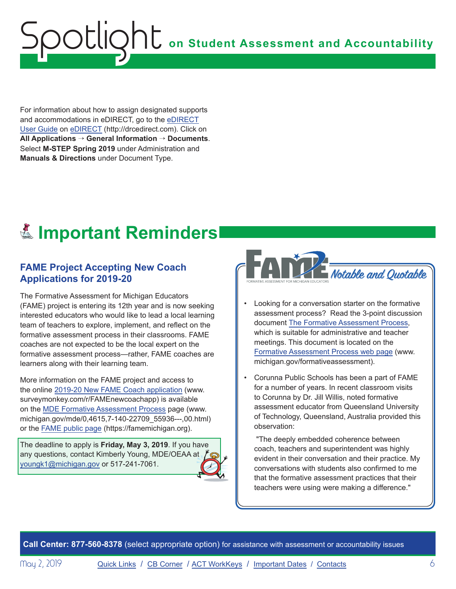<span id="page-5-0"></span>For information about how to assign designated supports and accommodations in eDIRECT, go to the [eDIRECT](https://mi.drcedirect.com/Documents/Unsecure/Doc.aspx?id=d0365d77-3c33-425b-8571-2fe03be0e55f)  User [Guide](https://mi.drcedirect.com/Documents/Unsecure/Doc.aspx?id=d0365d77-3c33-425b-8571-2fe03be0e55f) on [eDIRECT](https://mi.drcedirect.com) [\(http://drcedirect.com\).](https://mi.drcedirect.com/Documents/Unsecure/Doc.aspx?id=d0365d77-3c33-425b-8571-2fe03be0e55f) Click on **All Applications** → **General Information** → **Documents**. Select **M-STEP Spring 2019** under Administration and **Manuals & Directions** under Document Type.

# **Elmportant Reminders**

## **FAME Project Accepting New Coach Applications for 2019-20**

The Formative Assessment for Michigan Educators (FAME) project is entering its 12th year and is now seeking interested educators who would like to lead a local learning team of teachers to explore, implement, and reflect on the formative assessment process in their classrooms. FAME coaches are not expected to be the local expert on the formative assessment process—rather, FAME coaches are learners along with their learning team.

More information on the FAME project and access to the online [2019-20 New FAME Coach application](https://www.surveymonkey.com/r/FAMEnewcoachapp) (www. surveymonkey.com/r/FAMEnewcoachapp) is available on the [MDE Formative Assessment Process](https://www.michigan.gov/mde/0,4615,7-140-22709_55936---,00.html) page (www. michigan.gov/mde/0,4615,7-140-22709\_55936---,00.html) or the FAME [public page](https://famemichigan.org/) (https://famemichigan.org).

The deadline to apply is **Friday, May 3, 2019**. If you have any questions, contact Kimberly Young, MDE/OEAA at [youngk1@michigan.gov](mailto:youngk1%40michigan.gov?subject=) or 517-241-7061.



- Looking for a conversation starter on the formative assessment process? Read the 3-point discussion document [The Formative Assessment Process,](https://www.michigan.gov/documents/mde/Formative_Assessment_Process_handout_one-pager_April_2019_653625_7.pdf) which is suitable for administrative and teacher meetings. This document is located on the [Formative Assessment Process web page](http://www.michigan.gov/formativeassessment) (www. michigan.gov/formativeassessment).
- Corunna Public Schools has been a part of FAME for a number of years. In recent classroom visits to Corunna by Dr. Jill Willis, noted formative assessment educator from Queensland University of Technology, Queensland, Australia provided this observation:

"The deeply embedded coherence between coach, teachers and superintendent was highly evident in their conversation and their practice. My conversations with students also confirmed to me that the formative assessment practices that their teachers were using were making a difference."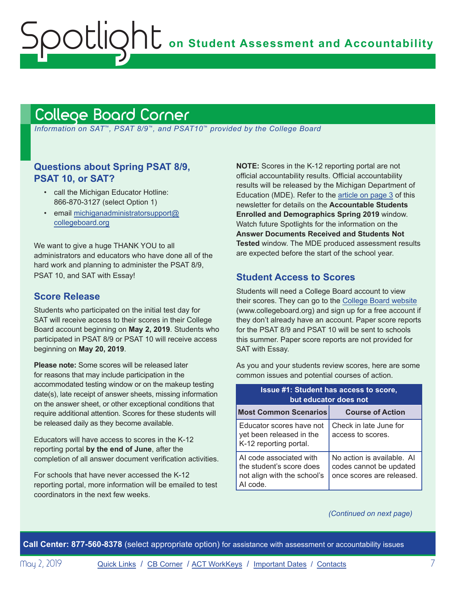# <span id="page-6-1"></span>College Board Corner

<span id="page-6-0"></span>Spotlight

 *Information on SAT*™*, PSAT 8/9*™*, and PSAT10*™ *provided by the College Board*

#### **Questions about Spring PSAT 8/9, PSAT 10, or SAT?**

- call the Michigan Educator Hotline: 866-870-3127 (select Option 1)
- email [michiganadministratorsupport@](mailto:michiganadministratorsupport%40collegeboard.org?subject=) [collegeboard.org](mailto:michiganadministratorsupport%40collegeboard.org?subject=)

We want to give a huge THANK YOU to all administrators and educators who have done all of the hard work and planning to administer the PSAT 8/9, PSAT 10, and SAT with Essay!

#### **Score Release**

Students who participated on the initial test day for SAT will receive access to their scores in their College Board account beginning on **May 2, 2019**. Students who participated in PSAT 8/9 or PSAT 10 will receive access beginning on **May 20, 2019**.

**Please note:** Some scores will be released later for reasons that may include participation in the accommodated testing window or on the makeup testing date(s), late receipt of answer sheets, missing information on the answer sheet, or other exceptional conditions that require additional attention. Scores for these students will be released daily as they become available.

Educators will have access to scores in the K-12 reporting portal **by the end of June**, after the completion of all answer document verification activities.

For schools that have never accessed the K-12 reporting portal, more information will be emailed to test coordinators in the next few weeks.

**NOTE:** Scores in the K-12 reporting portal are not official accountability results. Official accountability results will be released by the Michigan Department of Education (MDE). Refer to the [article on page 3](#page-2-0) of this newsletter for details on the **Accountable Students Enrolled and Demographics Spring 2019** window. Watch future Spotlights for the information on the **Answer Documents Received and Students Not Tested** window. The MDE produced assessment results are expected before the start of the school year.

#### **Student Access to Scores**

Students will need a College Board account to view their scores. They can go to the [College Board website](http://www.collegeboard.org) (www.collegeboard.org) and sign up for a free account if they don't already have an account. Paper score reports for the PSAT 8/9 and PSAT 10 will be sent to schools this summer. Paper score reports are not provided for SAT with Essay.

As you and your students review scores, here are some common issues and potential courses of action.

| <b>Issue #1: Student has access to score,</b><br>but educator does not                         |                                                                                    |  |
|------------------------------------------------------------------------------------------------|------------------------------------------------------------------------------------|--|
| <b>Most Common Scenarios</b>                                                                   | <b>Course of Action</b>                                                            |  |
| Educator scores have not<br>yet been released in the<br>K-12 reporting portal.                 | Check in late June for<br>access to scores.                                        |  |
| AI code associated with<br>the student's score does<br>not align with the school's<br>AI code. | No action is available. Al<br>codes cannot be updated<br>once scores are released. |  |

#### *(Continued on next page)*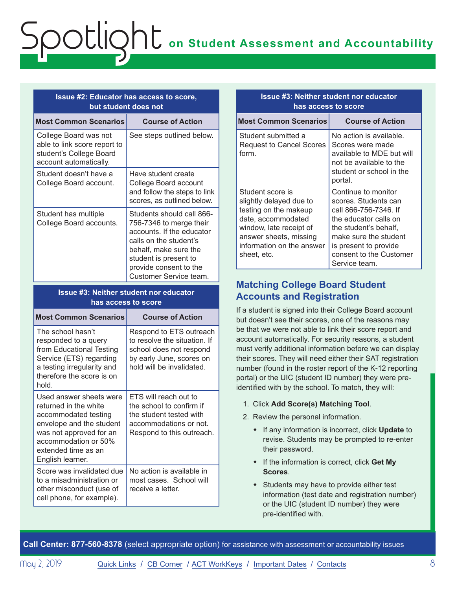#### **Issue #2: Educator has access to score, but student does not**

| <b>Most Common Scenarios</b>                                                                               | <b>Course of Action</b>                                                                                                                                                                                           |
|------------------------------------------------------------------------------------------------------------|-------------------------------------------------------------------------------------------------------------------------------------------------------------------------------------------------------------------|
| College Board was not<br>able to link score report to<br>student's College Board<br>account automatically. | See steps outlined below.                                                                                                                                                                                         |
| Student doesn't have a<br>College Board account.                                                           | Have student create<br>College Board account<br>and follow the steps to link<br>scores, as outlined below.                                                                                                        |
| Student has multiple<br>College Board accounts.                                                            | Students should call 866-<br>756-7346 to merge their<br>accounts. If the educator<br>calls on the student's<br>behalf, make sure the<br>student is present to<br>provide consent to the<br>Customer Service team. |

#### **Issue #3: Neither student nor educator has access to score**

| <b>Most Common Scenarios</b>                                                                                                                                                                       | <b>Course of Action</b>                                                                                                                     |
|----------------------------------------------------------------------------------------------------------------------------------------------------------------------------------------------------|---------------------------------------------------------------------------------------------------------------------------------------------|
| The school hasn't<br>responded to a query<br>from Educational Testing<br>Service (ETS) regarding<br>a testing irregularity and<br>therefore the score is on<br>hold.                               | Respond to ETS outreach<br>to resolve the situation. If<br>school does not respond<br>by early June, scores on<br>hold will be invalidated. |
| Used answer sheets were<br>returned in the white<br>accommodated testing<br>envelope and the student<br>was not approved for an<br>accommodation or 50%<br>extended time as an<br>English learner. | ETS will reach out to<br>the school to confirm if<br>the student tested with<br>accommodations or not.<br>Respond to this outreach.         |
| Score was invalidated due<br>to a misadministration or<br>other misconduct (use of<br>cell phone, for example).                                                                                    | No action is available in<br>most cases. School will<br>receive a letter.                                                                   |

| <b>Issue #3: Neither student nor educator</b><br>has access to score                                                                                                                        |                                                                                                                                                                                                                      |  |
|---------------------------------------------------------------------------------------------------------------------------------------------------------------------------------------------|----------------------------------------------------------------------------------------------------------------------------------------------------------------------------------------------------------------------|--|
| <b>Most Common Scenarios</b>                                                                                                                                                                | <b>Course of Action</b>                                                                                                                                                                                              |  |
| Student submitted a<br><b>Request to Cancel Scores</b><br>form.                                                                                                                             | No action is available.<br>Scores were made<br>available to MDE but will<br>not be available to the<br>student or school in the<br>portal.                                                                           |  |
| Student score is<br>slightly delayed due to<br>testing on the makeup<br>date, accommodated<br>window, late receipt of<br>answer sheets, missing<br>information on the answer<br>sheet, etc. | Continue to monitor<br>scores. Students can<br>call 866-756-7346. If<br>the educator calls on<br>the student's behalf,<br>make sure the student<br>is present to provide<br>consent to the Customer<br>Service team. |  |

### **Matching College Board Student Accounts and Registration**

If a student is signed into their College Board account but doesn't see their scores, one of the reasons may be that we were not able to link their score report and account automatically. For security reasons, a student must verify additional information before we can display their scores. They will need either their SAT registration number (found in the roster report of the K-12 reporting portal) or the UIC (student ID number) they were preidentified with by the school. To match, they will:

- 1. Click **Add Score(s) Matching Tool**.
- 2. Review the personal information.
	- w If any information is incorrect, click **Update** to revise. Students may be prompted to re-enter their password.
	- \* If the information is correct, click Get My **Scores**.
	- $\bullet$  Students may have to provide either test information (test date and registration number) or the UIC (student ID number) they were pre-identified with.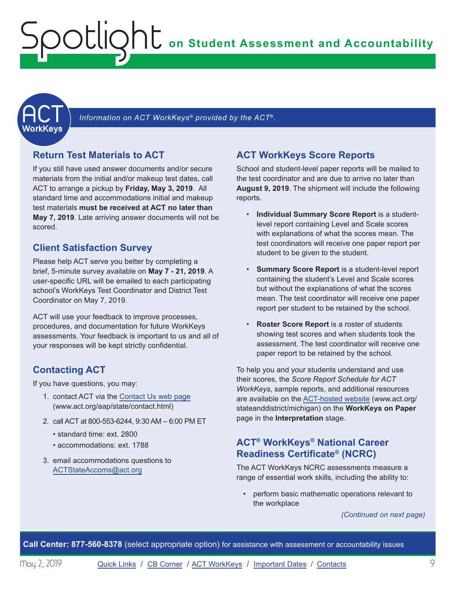<span id="page-8-1"></span><span id="page-8-0"></span>

Information on ACT WorkKeys<sup>®</sup> provided by the ACT®.

### **Return Test Materials to ACT**

If you still have used answer documents and/or secure materials from the initial and/or makeup test dates, call ACT to arrange a pickup by **Friday, May 3, 2019**. All standard time and accommodations initial and makeup test materials **must be received at ACT no later than May 7, 2019**. Late arriving answer documents will not be scored.

### **Client Satisfaction Survey**

Please help ACT serve you better by completing a brief, 5-minute survey available on **May 7 - 21, 2019**. A user-specific URL will be emailed to each participating school's WorkKeys Test Coordinator and District Test Coordinator on May 7, 2019.

ACT will use your feedback to improve processes, procedures, and documentation for future WorkKeys assessments. Your feedback is important to us and all of your responses will be kept strictly confidential.

## **Contacting ACT**

If you have questions, you may:

- 1. contact ACT via the [Contact Us web page](http://www.act.org/aap/state/contact.html) [\(www.act.org/aap/state/contact.html\)](www.act.org/aap/state/contact.html)
- 2. call ACT at 800-553-6244, 9:30 AM 6:00 PM ET
	- standard time: ext. 2800
	- accommodations: ext. 1788
- 3. email accommodations questions to [ACTStateAccoms@act.org](mailto:ACTStateAccoms%40act.org?subject=)

### **ACT WorkKeys Score Reports**

School and student-level paper reports will be mailed to the test coordinator and are due to arrive no later than **August 9, 2019**. The shipment will include the following reports.

- **Individual Summary Score Report** is a studentlevel report containing Level and Scale scores with explanations of what the scores mean. The test coordinators will receive one paper report per student to be given to the student.
- **Summary Score Report** is a student-level report containing the student's Level and Scale scores but without the explanations of what the scores mean. The test coordinator will receive one paper report per student to be retained by the school.
- **Roster Score Report** is a roster of students showing test scores and when students took the assessment. The test coordinator will receive one paper report to be retained by the school.

To help you and your students understand and use their scores, the *Score Report Schedule for ACT WorkKeys*, sample reports, and additional resources are available on the [ACT-hosted website](http://www.act.org/stateanddistrict/michigan) (www.act.org/ stateanddistrict/michigan) on the **WorkKeys on Paper**  page in the **Interpretation** stage.

### **ACT® WorkKeys® National Career Readiness Certificate® (NCRC)**

The ACT WorkKeys NCRC assessments measure a range of essential work skills, including the ability to:

• perform basic mathematic operations relevant to the workplace

*(Continued on next page)*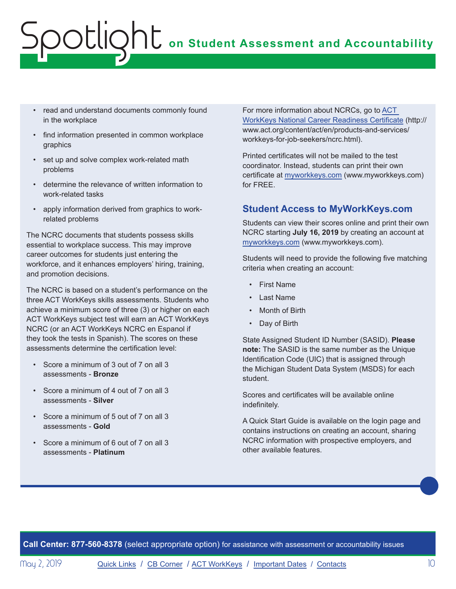- read and understand documents commonly found in the workplace
- find information presented in common workplace graphics
- set up and solve complex work-related math problems
- determine the relevance of written information to work-related tasks
- apply information derived from graphics to workrelated problems

The NCRC documents that students possess skills essential to workplace success. This may improve career outcomes for students just entering the workforce, and it enhances employers' hiring, training, and promotion decisions.

The NCRC is based on a student's performance on the three ACT WorkKeys skills assessments. Students who achieve a minimum score of three (3) or higher on each ACT WorkKeys subject test will earn an ACT WorkKeys NCRC (or an ACT WorkKeys NCRC en Espanol if they took the tests in Spanish). The scores on these assessments determine the certification level:

- Score a minimum of 3 out of 7 on all 3 assessments - **Bronze**
- Score a minimum of 4 out of 7 on all 3 assessments - **Silver**
- Score a minimum of 5 out of 7 on all 3 assessments - **Gold**
- Score a minimum of 6 out of 7 on all 3 assessments - **Platinum**

For more information about NCRCs, go to ACT [WorkKeys National Career Readiness Certificate](http://www.act.org/content/act/en/products-and-services/workkeys-for-job-seekers/ncrc.html) (http:// www.act.org/content/act/en/products-and-services/ workkeys-for-job-seekers/ncrc.html).

Printed certificates will not be mailed to the test coordinator. Instead, students can print their own certificate at [myworkkeys.com](http://www.myworkkeys.com) (www.myworkkeys.com) for FREE.

### **Student Access to MyWorkKeys.com**

Students can view their scores online and print their own NCRC starting **July 16, 2019** by creating an account at [myworkkeys.com](http://www.myworkkeys.com) (www.myworkkeys.com).

Students will need to provide the following five matching criteria when creating an account:

- First Name
- Last Name
- Month of Birth
- Day of Birth

State Assigned Student ID Number (SASID). **Please note:** The SASID is the same number as the Unique Identification Code (UIC) that is assigned through the Michigan Student Data System (MSDS) for each student.

Scores and certificates will be available online indefinitely.

A Quick Start Guide is available on the login page and contains instructions on creating an account, sharing NCRC information with prospective employers, and other available features.

**Call Center: 877-560-8378** (select appropriate option) for assistance with assessment or accountability issues

May 2, 2019 **[Quick Links](#page-0-0) / [CB Corner](#page-6-1) / [ACT WorkKeys](#page-8-1) / [Important Dates](#page-10-1) / [Contacts](#page-11-1)** 10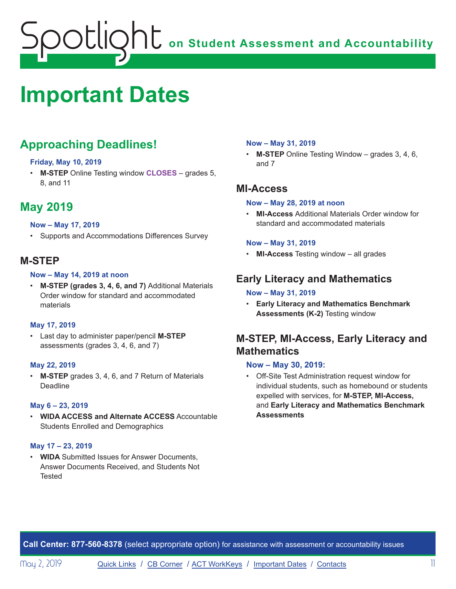# <span id="page-10-1"></span><span id="page-10-0"></span>**Important Dates**

# **Approaching Deadlines!**

#### **Friday, May 10, 2019**

• **M-STEP** Online Testing window **CLOSES** – grades 5, 8, and 11

# **May 2019**

#### **Now – May 17, 2019**

• Supports and Accommodations Differences Survey

### **M-STEP**

#### **Now – May 14, 2019 at noon**

• **M-STEP (grades 3, 4, 6, and 7)** Additional Materials Order window for standard and accommodated materials

#### **May 17, 2019**

• Last day to administer paper/pencil **M-STEP** assessments (grades 3, 4, 6, and 7)

#### **May 22, 2019**

• **M-STEP** grades 3, 4, 6, and 7 Return of Materials Deadline

#### **May 6 – 23, 2019**

• **WIDA ACCESS and Alternate ACCESS** Accountable Students Enrolled and Demographics

#### **May 17 – 23, 2019**

• **WIDA** Submitted Issues for Answer Documents, Answer Documents Received, and Students Not **Tested** 

#### **Now – May 31, 2019**

• **M-STEP** Online Testing Window – grades 3, 4, 6, and 7

### **MI-Access**

#### **Now – May 28, 2019 at noon**

• **MI-Access** Additional Materials Order window for standard and accommodated materials

#### **Now – May 31, 2019**

• **MI-Access** Testing window – all grades

## **Early Literacy and Mathematics**

#### **Now – May 31, 2019**

• **Early Literacy and Mathematics Benchmark Assessments (K-2)** Testing window

# **M-STEP, MI-Access, Early Literacy and Mathematics**

#### **Now – May 30, 2019:**

• Off-Site Test Administration request window for individual students, such as homebound or students expelled with services, for **M-STEP, MI-Access,**  and **Early Literacy and Mathematics Benchmark Assessments**